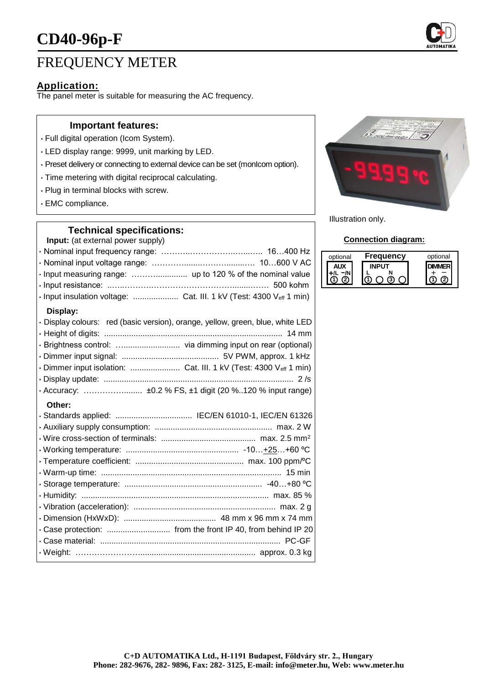

# FREQUENCY METER

# **Application:**

The panel meter is suitable for measuring the AC frequency.

## **Important features:**

- Full digital operation (Icom System).
- LED display range: 9999, unit marking by LED.
- Preset delivery or connecting to external device can be set (monIcom option).
- Time metering with digital reciprocal calculating.
- Plug in terminal blocks with screw.
- EMC compliance.

## **Technical specifications:**

**Input:** (at external power supply)

| · Input measuring range:  up to 120 % of the nominal value                     |                      |
|--------------------------------------------------------------------------------|----------------------|
|                                                                                |                      |
| · Input insulation voltage:  Cat. III. 1 kV (Test: 4300 Veff 1 min)            |                      |
| Display:                                                                       |                      |
| · Display colours: red (basic version), orange, yellow, green, blue, white LED |                      |
|                                                                                |                      |
|                                                                                |                      |
|                                                                                |                      |
|                                                                                |                      |
| Diambass success and a                                                         | $\sim$ $\sim$ $\sim$ |

• Display update: .................................................................................... 2 /s • Accuracy: ……………........ ±0.2 % FS, ±1 digit (20 %..120 % input range)

#### **Other:**

| · Standards applied:  IEC/EN 61010-1, IEC/EN 61326 |
|----------------------------------------------------|
|                                                    |
|                                                    |
|                                                    |
|                                                    |
|                                                    |
|                                                    |
|                                                    |
|                                                    |
|                                                    |
|                                                    |
|                                                    |
|                                                    |
|                                                    |



Illustration only.

### **Connection diagram:**

| optional | Frequency | optional |
|----------|-----------|----------|
|          |           |          |